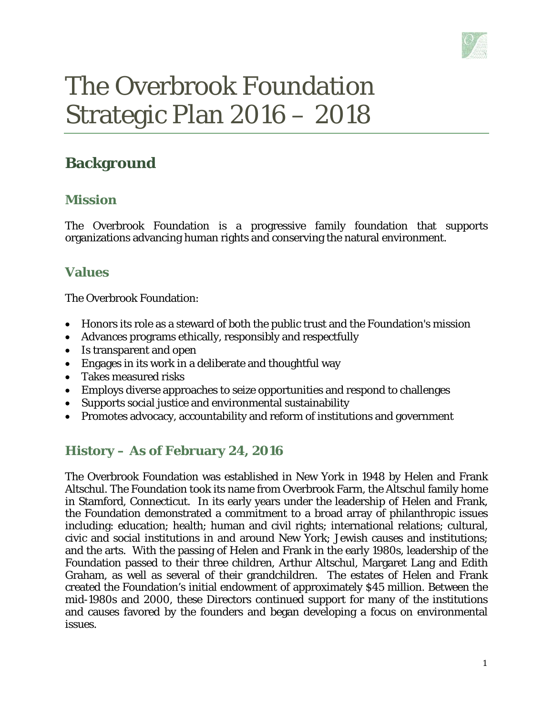

# The Overbrook Foundation Strategic Plan 2016 – 2018

## **Background**

#### **Mission**

The Overbrook Foundation is a progressive family foundation that supports organizations advancing human rights and conserving the natural environment.

### **Values**

The Overbrook Foundation:

- Honors its role as a steward of both the public trust and the Foundation's mission
- Advances programs ethically, responsibly and respectfully
- Is transparent and open
- Engages in its work in a deliberate and thoughtful way
- Takes measured risks
- Employs diverse approaches to seize opportunities and respond to challenges
- Supports social justice and environmental sustainability
- Promotes advocacy, accountability and reform of institutions and government

## **History – As of February 24, 2016**

The Overbrook Foundation was established in New York in 1948 by Helen and Frank Altschul. The Foundation took its name from Overbrook Farm, the Altschul family home in Stamford, Connecticut. In its early years under the leadership of Helen and Frank, the Foundation demonstrated a commitment to a broad array of philanthropic issues including: education; health; human and civil rights; international relations; cultural, civic and social institutions in and around New York; Jewish causes and institutions; and the arts. With the passing of Helen and Frank in the early 1980s, leadership of the Foundation passed to their three children, Arthur Altschul, Margaret Lang and Edith Graham, as well as several of their grandchildren. The estates of Helen and Frank created the Foundation's initial endowment of approximately \$45 million. Between the mid-1980s and 2000, these Directors continued support for many of the institutions and causes favored by the founders and began developing a focus on environmental issues.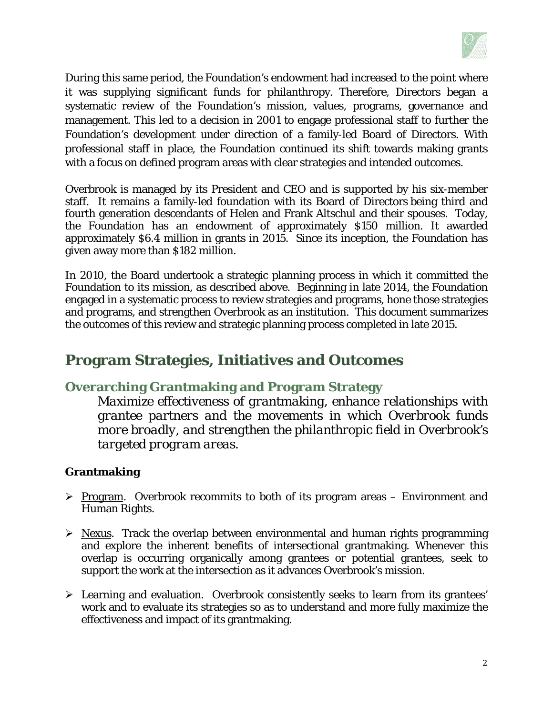

During this same period, the Foundation's endowment had increased to the point where it was supplying significant funds for philanthropy. Therefore, Directors began a systematic review of the Foundation's mission, values, programs, governance and management. This led to a decision in 2001 to engage professional staff to further the Foundation's development under direction of a family-led Board of Directors. With professional staff in place, the Foundation continued its shift towards making grants with a focus on defined program areas with clear strategies and intended outcomes.

Overbrook is managed by its President and CEO and is supported by his six-member staff. It remains a family-led foundation with its Board of Directors being third and fourth generation descendants of Helen and Frank Altschul and their spouses. Today, the Foundation has an endowment of approximately \$150 million. It awarded approximately \$6.4 million in grants in 2015. Since its inception, the Foundation has given away more than \$182 million.

In 2010, the Board undertook a strategic planning process in which it committed the Foundation to its mission, as described above. Beginning in late 2014, the Foundation engaged in a systematic process to review strategies and programs, hone those strategies and programs, and strengthen Overbrook as an institution. This document summarizes the outcomes of this review and strategic planning process completed in late 2015.

## **Program Strategies, Initiatives and Outcomes**

#### **Overarching Grantmaking and Program Strategy**

*Maximize effectiveness of grantmaking, enhance relationships with grantee partners and the movements in which Overbrook funds more broadly, and strengthen the philanthropic field in Overbrook's targeted program areas.* 

#### **Grantmaking**

- $\triangleright$  Program. Overbrook recommits to both of its program areas Environment and Human Rights.
- $\triangleright$  Nexus. Track the overlap between environmental and human rights programming and explore the inherent benefits of intersectional grantmaking. Whenever this overlap is occurring organically among grantees or potential grantees, seek to support the work at the intersection as it advances Overbrook's mission.
- Learning and evaluation. Overbrook consistently seeks to learn from its grantees' work and to evaluate its strategies so as to understand and more fully maximize the effectiveness and impact of its grantmaking.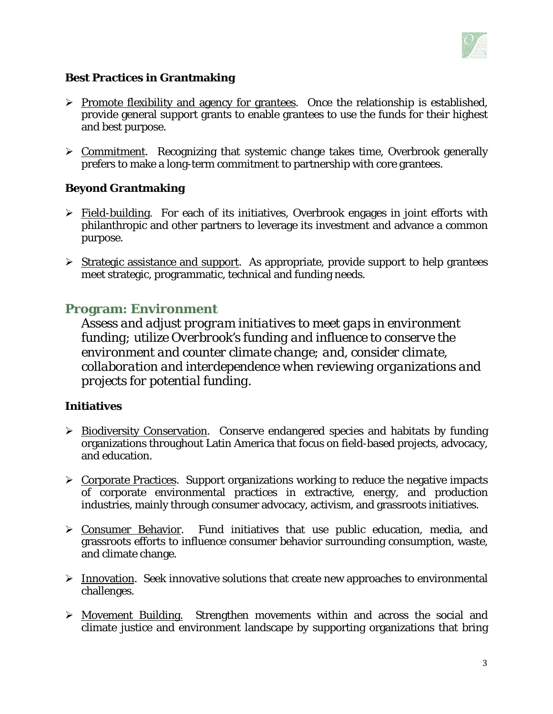

#### **Best Practices in Grantmaking**

- $\triangleright$  Promote flexibility and agency for grantees. Once the relationship is established, provide general support grants to enable grantees to use the funds for their highest and best purpose.
- $\triangleright$  Commitment. Recognizing that systemic change takes time, Overbrook generally prefers to make a long-term commitment to partnership with core grantees.

#### **Beyond Grantmaking**

- $\triangleright$  Field-building. For each of its initiatives, Overbrook engages in joint efforts with philanthropic and other partners to leverage its investment and advance a common purpose.
- $\triangleright$  Strategic assistance and support. As appropriate, provide support to help grantees meet strategic, programmatic, technical and funding needs.

#### **Program: Environment**

*Assess and adjust program initiatives to meet gaps in environment funding; utilize Overbrook's funding and influence to conserve the environment and counter climate change; and, consider climate, collaboration and interdependence when reviewing organizations and projects for potential funding.* 

#### **Initiatives**

- > Biodiversity Conservation. Conserve endangered species and habitats by funding organizations throughout Latin America that focus on field-based projects, advocacy, and education.
- $\triangleright$  Corporate Practices. Support organizations working to reduce the negative impacts of corporate environmental practices in extractive, energy, and production industries, mainly through consumer advocacy, activism, and grassroots initiatives.
- $\triangleright$  Consumer Behavior. Fund initiatives that use public education, media, and grassroots efforts to influence consumer behavior surrounding consumption, waste, and climate change.
- $\triangleright$  Innovation. Seek innovative solutions that create new approaches to environmental challenges.
- Movement Building. Strengthen movements within and across the social and climate justice and environment landscape by supporting organizations that bring